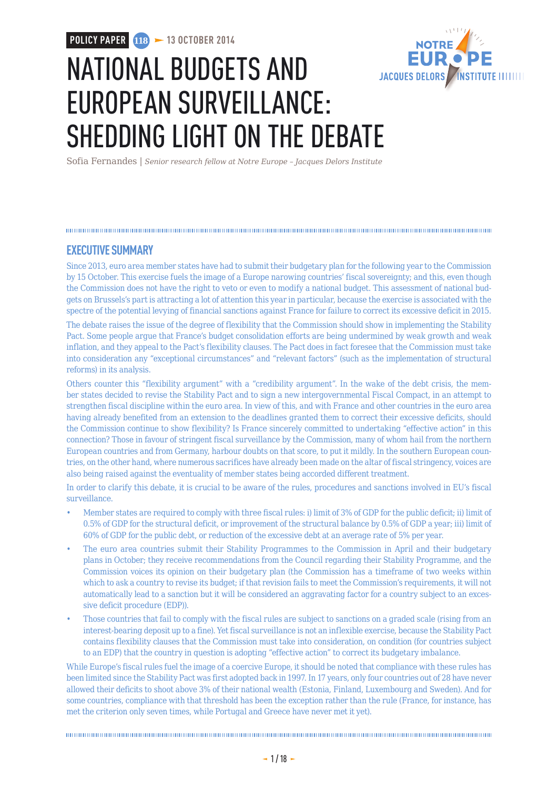**POLICY PAPER 118 > 13 OCTOBER 2014** 



# NATIONAL BUDGETS AND EUROPEAN SURVEILLANCE: SHEDDING LIGHT ON THE DEBATE

Sofia Fernandes | *Senior research fellow at Notre Europe – Jacques Delors Institute*

### **EXECUTIVE SUMMARY**

Since 2013, euro area member states have had to submit their budgetary plan for the following year to the Commission by 15 October. This exercise fuels the image of a Europe narowing countries' fiscal sovereignty; and this, even though the Commission does not have the right to veto or even to modify a national budget. This assessment of national budgets on Brussels's part is attracting a lot of attention this year in particular, because the exercise is associated with the spectre of the potential levying of financial sanctions against France for failure to correct its excessive deficit in 2015. The debate raises the issue of the degree of flexibility that the Commission should show in implementing the Stability Pact. Some people argue that France's budget consolidation efforts are being undermined by weak growth and weak inflation, and they appeal to the Pact's flexibility clauses. The Pact does in fact foresee that the Commission must take into consideration any "exceptional circumstances" and "relevant factors" (such as the implementation of structural

reforms) in its analysis.

Others counter this "flexibility argument" with a "credibility argument". In the wake of the debt crisis, the member states decided to revise the Stability Pact and to sign a new intergovernmental Fiscal Compact, in an attempt to strengthen fiscal discipline within the euro area. In view of this, and with France and other countries in the euro area having already benefited from an extension to the deadlines granted them to correct their excessive deficits, should the Commission continue to show flexibility? Is France sincerely committed to undertaking "effective action" in this connection? Those in favour of stringent fiscal surveillance by the Commission, many of whom hail from the northern European countries and from Germany, harbour doubts on that score, to put it mildly. In the southern European countries, on the other hand, where numerous sacrifices have already been made on the altar of fiscal stringency, voices are also being raised against the eventuality of member states being accorded different treatment.

In order to clarify this debate, it is crucial to be aware of the rules, procedures and sanctions involved in EU's fiscal surveillance.

- Member states are required to comply with three fiscal rules: i) limit of 3% of GDP for the public deficit; ii) limit of 0.5% of GDP for the structural deficit, or improvement of the structural balance by 0.5% of GDP a year; iii) limit of 60% of GDP for the public debt, or reduction of the excessive debt at an average rate of 5% per year.
- The euro area countries submit their Stability Programmes to the Commission in April and their budgetary plans in October; they receive recommendations from the Council regarding their Stability Programme, and the Commission voices its opinion on their budgetary plan (the Commission has a timeframe of two weeks within which to ask a country to revise its budget; if that revision fails to meet the Commission's requirements, it will not automatically lead to a sanction but it will be considered an aggravating factor for a country subject to an excessive deficit procedure (EDP)).
- Those countries that fail to comply with the fiscal rules are subject to sanctions on a graded scale (rising from an interest-bearing deposit up to a fine). Yet fiscal surveillance is not an inflexible exercise, because the Stability Pact contains flexibility clauses that the Commission must take into consideration, on condition (for countries subject to an EDP) that the country in question is adopting "effective action" to correct its budgetary imbalance.

While Europe's fiscal rules fuel the image of a coercive Europe, it should be noted that compliance with these rules has been limited since the Stability Pact was first adopted back in 1997. In 17 years, only four countries out of 28 have never allowed their deficits to shoot above 3% of their national wealth (Estonia, Finland, Luxembourg and Sweden). And for some countries, compliance with that threshold has been the exception rather than the rule (France, for instance, has met the criterion only seven times, while Portugal and Greece have never met it yet).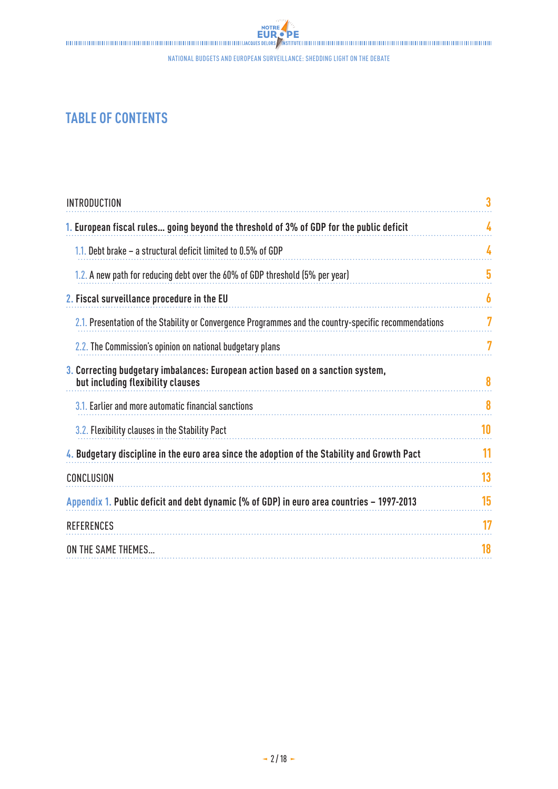## **TABLE OF CONTENTS**

| <b>INTRODUCTION</b>                                                                                                  | 3  |
|----------------------------------------------------------------------------------------------------------------------|----|
| 1. European fiscal rules going beyond the threshold of 3% of GDP for the public deficit                              | 4  |
| 1.1. Debt brake $-$ a structural deficit limited to 0.5% of GDP                                                      | 4  |
| 1.2. A new path for reducing debt over the 60% of GDP threshold (5% per year)                                        | 5  |
| 2. Fiscal surveillance procedure in the EU                                                                           | 6  |
| 2.1. Presentation of the Stability or Convergence Programmes and the country-specific recommendations                | 7  |
| 2.2. The Commission's opinion on national budgetary plans                                                            |    |
| 3. Correcting budgetary imbalances: European action based on a sanction system,<br>but including flexibility clauses | 8  |
| 3.1. Earlier and more automatic financial sanctions                                                                  | 8  |
| 3.2. Flexibility clauses in the Stability Pact                                                                       | 10 |
| 4. Budgetary discipline in the euro area since the adoption of the Stability and Growth Pact                         | 11 |
| CONCLUSION                                                                                                           | 13 |
| Appendix 1. Public deficit and debt dynamic (% of GDP) in euro area countries - 1997-2013                            | 15 |
| <b>REFERENCES</b>                                                                                                    | 17 |
| ON THE SAME THEMES                                                                                                   | 18 |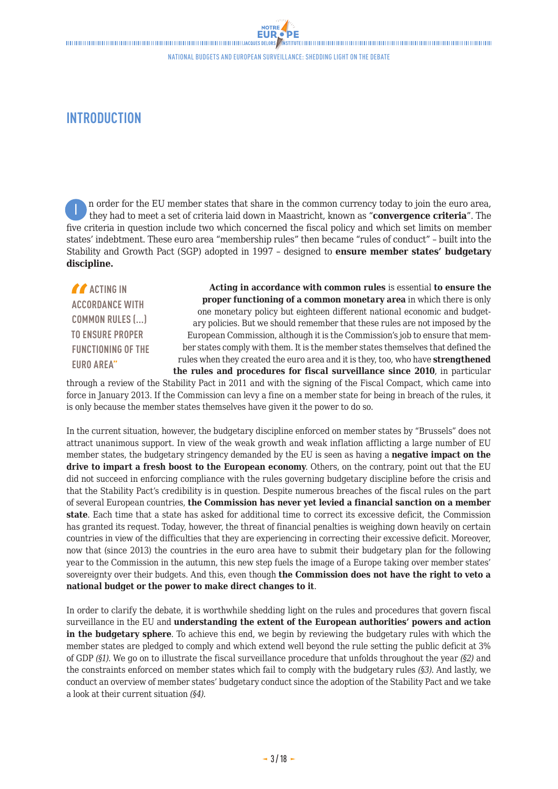## <span id="page-2-0"></span>**INTRODUCTION**

 n order for the EU member states that share in the common currency today to join the euro area, they had to meet a set of criteria laid down in Maastricht, known as "**convergence criteria**". The five criteria in question include two which concerned the fiscal policy and which set limits on member states' indebtment. These euro area "membership rules" then became "rules of conduct" – built into the Stability and Growth Pact (SGP) adopted in 1997 – designed to **ensure member states' budgetary discipline.** I

**ACTING IN ACCORDANCE WITH COMMON RULES (...) TO ENSURE PROPER FUNCTIONING OF THE EURO AREA"**

**Acting in accordance with common rules** is essential **to ensure the proper functioning of a common monetary area** in which there is only one monetary policy but eighteen different national economic and budgetary policies. But we should remember that these rules are not imposed by the European Commission, although it is the Commission's job to ensure that member states comply with them. It is the member states themselves that defined the rules when they created the euro area and it is they, too, who have **strengthened the rules and procedures for fiscal surveillance since 2010**, in particular

through a review of the Stability Pact in 2011 and with the signing of the Fiscal Compact, which came into force in January 2013. If the Commission can levy a fine on a member state for being in breach of the rules, it is only because the member states themselves have given it the power to do so.

In the current situation, however, the budgetary discipline enforced on member states by "Brussels" does not attract unanimous support. In view of the weak growth and weak inflation afflicting a large number of EU member states, the budgetary stringency demanded by the EU is seen as having a **negative impact on the drive to impart a fresh boost to the European economy**. Others, on the contrary, point out that the EU did not succeed in enforcing compliance with the rules governing budgetary discipline before the crisis and that the Stability Pact's credibility is in question. Despite numerous breaches of the fiscal rules on the part of several European countries, **the Commission has never yet levied a financial sanction on a member state**. Each time that a state has asked for additional time to correct its excessive deficit, the Commission has granted its request. Today, however, the threat of financial penalties is weighing down heavily on certain countries in view of the difficulties that they are experiencing in correcting their excessive deficit. Moreover, now that (since 2013) the countries in the euro area have to submit their budgetary plan for the following year to the Commission in the autumn, this new step fuels the image of a Europe taking over member states' sovereignty over their budgets. And this, even though **the Commission does not have the right to veto a national budget or the power to make direct changes to it**.

In order to clarify the debate, it is worthwhile shedding light on the rules and procedures that govern fiscal surveillance in the EU and **understanding the extent of the European authorities' powers and action in the budgetary sphere**. To achieve this end, we begin by reviewing the budgetary rules with which the member states are pledged to comply and which extend well beyond the rule setting the public deficit at 3% of GDP *(§1)*. We go on to illustrate the fiscal surveillance procedure that unfolds throughout the year *(§2)* and the constraints enforced on member states which fail to comply with the budgetary rules *(§3)*. And lastly, we conduct an overview of member states' budgetary conduct since the adoption of the Stability Pact and we take a look at their current situation *(§4)*.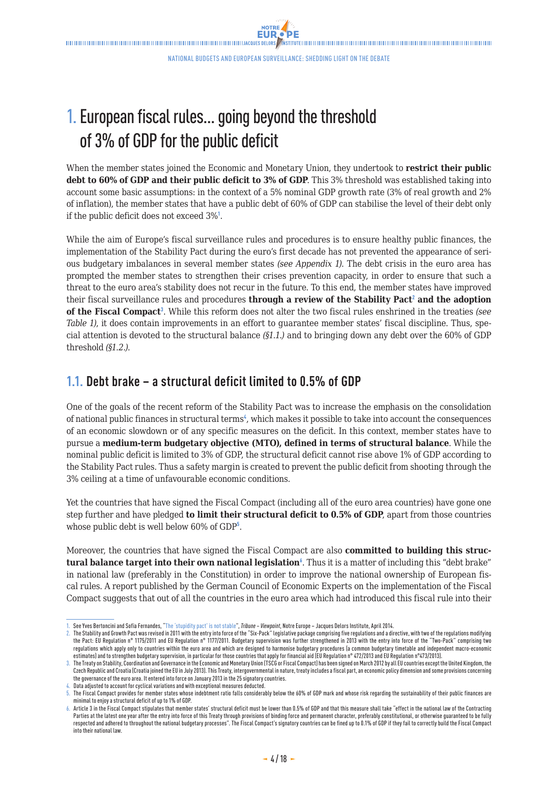**NOTRE FUR OPE** 

## <span id="page-3-0"></span>1.European fiscal rules… going beyond the threshold of 3% of GDP for the public deficit

When the member states joined the Economic and Monetary Union, they undertook to **restrict their public debt to 60% of GDP and their public deficit to 3% of GDP**. This 3% threshold was established taking into account some basic assumptions: in the context of a 5% nominal GDP growth rate (3% of real growth and 2% of inflation), the member states that have a public debt of 60% of GDP can stabilise the level of their debt only if the public deficit does not exceed 3%<sup>1</sup>.

While the aim of Europe's fiscal surveillance rules and procedures is to ensure healthy public finances, the implementation of the Stability Pact during the euro's first decade has not prevented the appearance of serious budgetary imbalances in several member states *(see Appendix 1)*. The debt crisis in the euro area has prompted the member states to strengthen their crises prevention capacity, in order to ensure that such a threat to the euro area's stability does not recur in the future. To this end, the member states have improved their fiscal surveillance rules and procedures **through a review of the Stability Pact**<sup>2</sup>  **and the adoption of the Fiscal Compact**<sup>3</sup> . While this reform does not alter the two fiscal rules enshrined in the treaties *(see Table 1)*, it does contain improvements in an effort to guarantee member states' fiscal discipline. Thus, special attention is devoted to the structural balance *(§1.1.)* and to bringing down any debt over the 60% of GDP threshold *(§1.2.)*.

## **1.1. Debt brake – a structural deficit limited to 0.5% of GDP**

One of the goals of the recent reform of the Stability Pact was to increase the emphasis on the consolidation of national public finances in structural terms<sup>4</sup>, which makes it possible to take into account the consequences of an economic slowdown or of any specific measures on the deficit. In this context, member states have to pursue a **medium-term budgetary objective (MTO), defined in terms of structural balance**. While the nominal public deficit is limited to 3% of GDP, the structural deficit cannot rise above 1% of GDP according to the Stability Pact rules. Thus a safety margin is created to prevent the public deficit from shooting through the 3% ceiling at a time of unfavourable economic conditions.

Yet the countries that have signed the Fiscal Compact (including all of the euro area countries) have gone one step further and have pledged **to limit their structural deficit to 0.5% of GDP**, apart from those countries whose public debt is well below 60% of GDP<sup>5</sup>.

Moreover, the countries that have signed the Fiscal Compact are also **committed to building this struc**tural balance target into their own national legislation<sup>6</sup>. Thus it is a matter of including this "debt brake" in national law (preferably in the Constitution) in order to improve the national ownership of European fiscal rules. A report published by the German Council of Economic Experts on the implementation of the Fiscal Compact suggests that out of all the countries in the euro area which had introduced this fiscal rule into their

<sup>1.</sup> See Yves Bertoncini and Sofia Fernandes, "[The 'stupidity pact' is not stable"](http://www.eng.notre-europe.eu/011-18631-Eng-The-stupidity-pact-is-not-stable.html), *Tribune – Viewpoint*, Notre Europe – Jacques Delors Institute, April 2014.

<sup>2.</sup> The Stability and Growth Pact was revised in 2011 with the entry into force of the "Six-Pack" legislative package comprising five regulations and a directive, with two of the regulations modifying the Pact: EU Regulation n° 1175/2011 and EU Regulation n° 1177/2011. Budgetary supervision was further strengthened in 2013 with the entry into force of the "Two-Pack" comprising two regulations which apply only to countries within the euro area and which are designed to harmonise budgetary procedures (a common budgetary timetable and independent macro-economic estimates) and to strengthen budgetary supervision, in particular for those countries that apply for financial aid (EU Regulation n° 472/2013 and EU Regulation n° 473/2013).

<sup>3.</sup> The Treaty on Stability, Coordination and Governance in the Economic and Monetary Union (TSCG or Fiscal Compact) has been signed on March 2012 by all EU countries except the United Kingdom, the Czech Republic and Croatia (Croatia joined the EU in July 2013). This Treaty, intergovernmental in nature, treaty includes a fiscal part, an economic policy dimension and some provisions concerning the governance of the euro area. It entered into force on January 2013 in the 25 signatory countries.

Data adjusted to account for cyclical variations and with exceptional measures deducted

<sup>5.</sup> The Fiscal Compact provides for member states whose indebtment ratio falls considerably below the 60% of GDP mark and whose risk regarding the sustainability of their public finances are minimal to enjoy a structural deficit of up to 1% of GDP.

<sup>6.</sup> Article 3 in the Fiscal Compact stipulates that member states' structural deficit must be lower than 0.5% of GDP and that this measure shall take "effect in the national law of the Contracting Parties at the latest one vear after the entry into force of this Treaty through provisions of binding force and permanent character, preferably constitutional, or otherwise quaranteed to be fully respected and adhered to throughout the national budgetary processes". The Fiscal Compact's signatory countries can be fined up to 0.1% of GDP if they fail to correctly build the Fiscal Compact into their national law.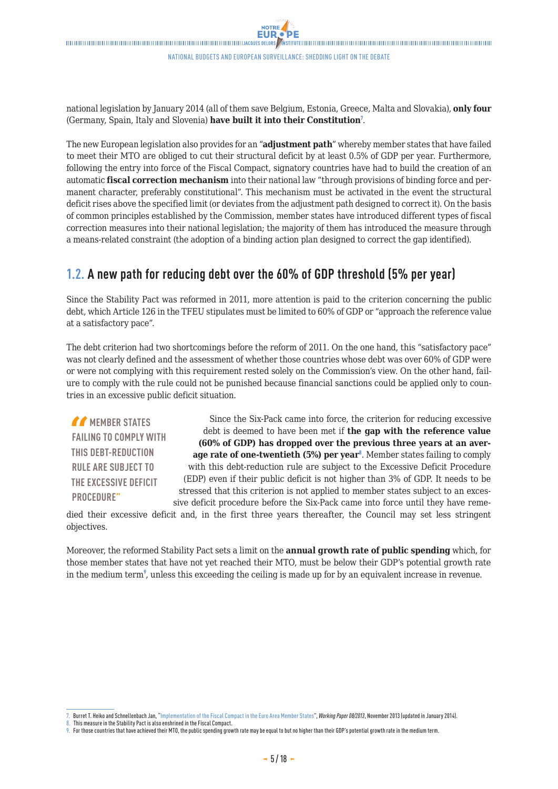<span id="page-4-0"></span> $\blacksquare$ 

national legislation by January 2014 (all of them save Belgium, Estonia, Greece, Malta and Slovakia), **only four** (Germany, Spain, Italy and Slovenia) **have built it into their Constitution**<sup>7</sup> .

The new European legislation also provides for an "**adjustment path**" whereby member states that have failed to meet their MTO are obliged to cut their structural deficit by at least 0.5% of GDP per year. Furthermore, following the entry into force of the Fiscal Compact, signatory countries have had to build the creation of an automatic **fiscal correction mechanism** into their national law "through provisions of binding force and permanent character, preferably constitutional". This mechanism must be activated in the event the structural deficit rises above the specified limit (or deviates from the adjustment path designed to correct it). On the basis of common principles established by the Commission, member states have introduced different types of fiscal correction measures into their national legislation; the majority of them has introduced the measure through a means-related constraint (the adoption of a binding action plan designed to correct the gap identified).

### **1.2. A new path for reducing debt over the 60% of GDP threshold (5% per year)**

Since the Stability Pact was reformed in 2011, more attention is paid to the criterion concerning the public debt, which Article 126 in the TFEU stipulates must be limited to 60% of GDP or "approach the reference value at a satisfactory pace".

The debt criterion had two shortcomings before the reform of 2011. On the one hand, this "satisfactory pace" was not clearly defined and the assessment of whether those countries whose debt was over 60% of GDP were or were not complying with this requirement rested solely on the Commission's view. On the other hand, failure to comply with the rule could not be punished because financial sanctions could be applied only to countries in an excessive public deficit situation.

*MEMBER STATES* **FAILING TO COMPLY WITH THIS DEBT-REDUCTION RULE ARE SUBJECT TO THE EXCESSIVE DEFICIT PROCEDURE"**

Since the Six-Pack came into force, the criterion for reducing excessive debt is deemed to have been met if **the gap with the reference value (60% of GDP) has dropped over the previous three years at an aver**age rate of one-twentieth (5%) per year<sup>8</sup>. Member states failing to comply with this debt-reduction rule are subject to the Excessive Deficit Procedure (EDP) even if their public deficit is not higher than 3% of GDP. It needs to be stressed that this criterion is not applied to member states subject to an excessive deficit procedure before the Six-Pack came into force until they have reme-

died their excessive deficit and, in the first three years thereafter, the Council may set less stringent objectives.

Moreover, the reformed Stability Pact sets a limit on the **annual growth rate of public spending** which, for those member states that have not yet reached their MTO, must be below their GDP's potential growth rate in the medium term<sup>9</sup>, unless this exceeding the ceiling is made up for by an equivalent increase in revenue.

<sup>7.</sup> Burret T. Heiko and Schnellenbach Jan, ["Implementation of the Fiscal Compact in the Euro Area Member States](http://www.sachverstaendigenrat-wirtschaft.de/fileadmin/dateiablage/download/publikationen/arbeitspapier_08_2013_engl.pdf)", *Working Paper 08/2013*, November 2013 (updated in January 2014).

<sup>8.</sup> This measure in the Stability Pact is also enshrined in the Fiscal Compact.

<sup>9.</sup> For those countries that have achieved their MTO, the public spending growth rate may be equal to but no higher than their GDP's potential growth rate in the medium term.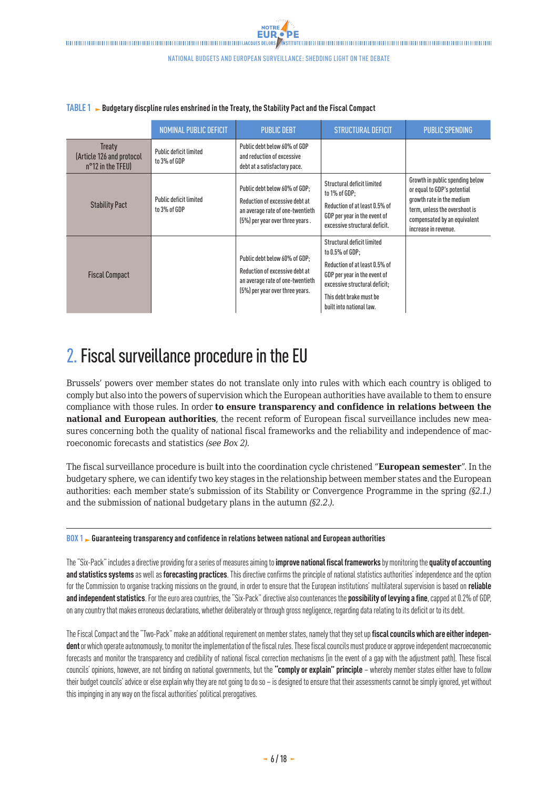#### NOMINAL PUBLIC DEFICIT PUBLIC DEBT STRUCTURAL DEFICIT PUBLIC SPENDING **Treaty** (Article 126 and protocol n°12 in the TFEU) Public deficit limited to 3% of GDP Public debt below 60% of GDP and reduction of excessive debt at a satisfactory pace. Stability Pact Public deficit limited to 3% of GDP Public debt below 60% of GDP; Reduction of excessive debt at an average rate of one-twentieth (5%) per year over three years . Structural deficit limited to 1% of GDP; Reduction of at least 0.5% of GDP per year in the event of excessive structural deficit. Growth in public spending below or equal to GDP's potential growth rate in the medium term, unless the overshoot is compensated by an equivalent increase in revenue. Fiscal Compact Public debt below 60% of GDP; Reduction of excessive debt at an average rate of one-twentieth (5%) per year over three years. Structural deficit limited to 0.5% of GDP; Reduction of at least 0.5% of GDP per year in the event of excessive structural deficit; This debt brake must be built into national law.

### <span id="page-5-0"></span>**TABLE 1** Budgetary discpline rules enshrined in the Treaty, the Stability Pact and the Fiscal Compact

## 2. Fiscal surveillance procedure in the EU

Brussels' powers over member states do not translate only into rules with which each country is obliged to comply but also into the powers of supervision which the European authorities have available to them to ensure compliance with those rules. In order **to ensure transparency and confidence in relations between the national and European authorities**, the recent reform of European fiscal surveillance includes new measures concerning both the quality of national fiscal frameworks and the reliability and independence of macroeconomic forecasts and statistics *(see Box 2)*.

The fiscal surveillance procedure is built into the coordination cycle christened "**European semester**". In the budgetary sphere, we can identify two key stages in the relationship between member states and the European authorities: each member state's submission of its Stability or Convergence Programme in the spring *(§2.1.)* and the submission of national budgetary plans in the autumn *(§2.2.)*.

### **BOX 1 Guaranteeing transparency and confidence in relations between national and European authorities**

The "Six-Pack" includes a directive providing for a series of measures aiming to **improve national fiscal frameworks** by monitoring the **quality of accounting and statistics systems** as well as **forecasting practices**. This directive confirms the principle of national statistics authorities' independence and the option for the Commission to organise tracking missions on the ground, in order to ensure that the European institutions' multilateral supervision is based on **reliable and independent statistics**. For the euro area countries, the "Six-Pack" directive also countenances the **possibility of levying a fine**, capped at 0.2% of GDP, on any country that makes erroneous declarations, whether deliberately or through gross negligence, regarding data relating to its deficit or to its debt.

The Fiscal Compact and the "Two-Pack" make an additional requirement on member states, namely that they set up **fiscal councils which are either independent** or which operate autonomously, to monitor the implementation of the fiscal rules. These fiscal councils must produce or approve independent macroeconomic forecasts and monitor the transparency and credibility of national fiscal correction mechanisms (in the event of a gap with the adjustment path). These fiscal councils' opinions, however, are not binding on national governments, but the **"comply or explain" principle** – whereby member states either have to follow their budget councils' advice or else explain why they are not going to do so – is designed to ensure that their assessments cannot be simply ignored, yet without this impinging in any way on the fiscal authorities' political prerogatives.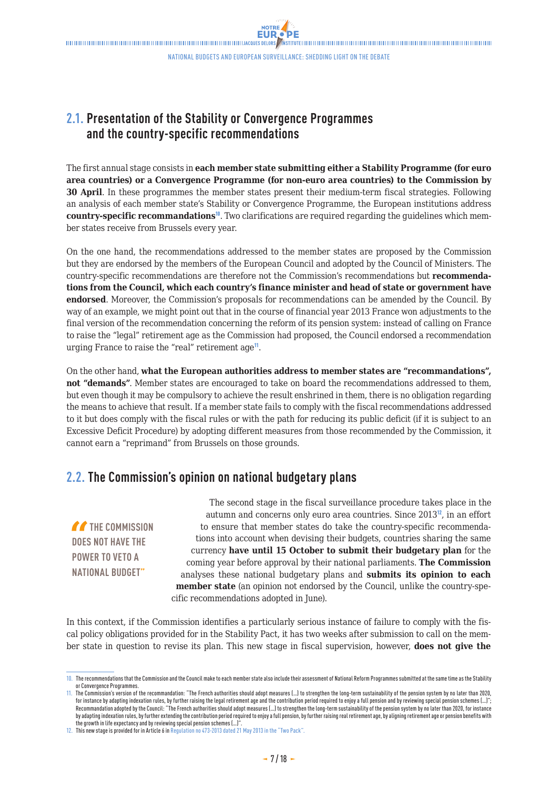NOTRE **FUR** 

## <span id="page-6-0"></span>**2.1. Presentation of the Stability or Convergence Programmes and the country-specific recommendations**

The first annual stage consists in **each member state submitting either a Stability Programme (for euro area countries) or a Convergence Programme (for non-euro area countries) to the Commission by 30 April**. In these programmes the member states present their medium-term fiscal strategies. Following an analysis of each member state's Stability or Convergence Programme, the European institutions address **country-specific recommandations**<sup>10</sup>. Two clarifications are required regarding the guidelines which member states receive from Brussels every year.

On the one hand, the recommendations addressed to the member states are proposed by the Commission but they are endorsed by the members of the European Council and adopted by the Council of Ministers. The country-specific recommendations are therefore not the Commission's recommendations but **recommendations from the Council, which each country's finance minister and head of state or government have endorsed**. Moreover, the Commission's proposals for recommendations can be amended by the Council. By way of an example, we might point out that in the course of financial year 2013 France won adjustments to the final version of the recommendation concerning the reform of its pension system: instead of calling on France to raise the "legal" retirement age as the Commission had proposed, the Council endorsed a recommendation urging France to raise the "real" retirement age<sup>11</sup>.

On the other hand, **what the European authorities address to member states are "recommandations", not "demands"**. Member states are encouraged to take on board the recommendations addressed to them, but even though it may be compulsory to achieve the result enshrined in them, there is no obligation regarding the means to achieve that result. If a member state fails to comply with the fiscal recommendations addressed to it but does comply with the fiscal rules or with the path for reducing its public deficit (if it is subject to an Excessive Deficit Procedure) by adopting different measures from those recommended by the Commission, it cannot earn a "reprimand" from Brussels on those grounds.

## **2.2. The Commission's opinion on national budgetary plans**

**THE COMMISSION DOES NOT HAVE THE POWER TO VETO A NATIONAL BUDGET"**

The second stage in the fiscal surveillance procedure takes place in the autumn and concerns only euro area countries. Since 2013<sup>12</sup>, in an effort to ensure that member states do take the country-specific recommendations into account when devising their budgets, countries sharing the same currency **have until 15 October to submit their budgetary plan** for the coming year before approval by their national parliaments. **The Commission** analyses these national budgetary plans and **submits its opinion to each member state** (an opinion not endorsed by the Council, unlike the country-specific recommendations adopted in June).

In this context, if the Commission identifies a particularly serious instance of failure to comply with the fiscal policy obligations provided for in the Stability Pact, it has two weeks after submission to call on the member state in question to revise its plan. This new stage in fiscal supervision, however, **does not give the** 

<sup>10.</sup> The recommendations that the Commission and the Council make to each member state also include their assessment of National Reform Programmes submitted at the same time as the Stability or Convergence Programmes.

<sup>11.</sup> The Commission's version of the recommandation: "The French authorities should adopt measures (…) to strengthen the long-term sustainability of the pension system by no later than 2020, for instance by adapting indexation rules, by further raising the legal retirement age and the contribution period required to enjoy a full pension and by reviewing special pension schemes (...)"; Recommandation adopted by the Council: "The French authorities should adopt measures (…) to strengthen the long-term sustainability of the pension system by no later than 2020, for instance by adapting indexation rules, by further extending the contribution period required to enjoy a full pension, by further raising real retirement age, by aligning retirement age or pension benefits with the growth in life expectancy and by reviewing special pension schemes (…)".

<sup>12.</sup> This new stage is provided for in Article 6 in [Regulation no 473-2013](http://eur-lex.europa.eu/legal-content/EN/TXT/PDF/?uri=CELEX:32013R0472&from=EN) dated 21 May 2013 in the "Two Pack".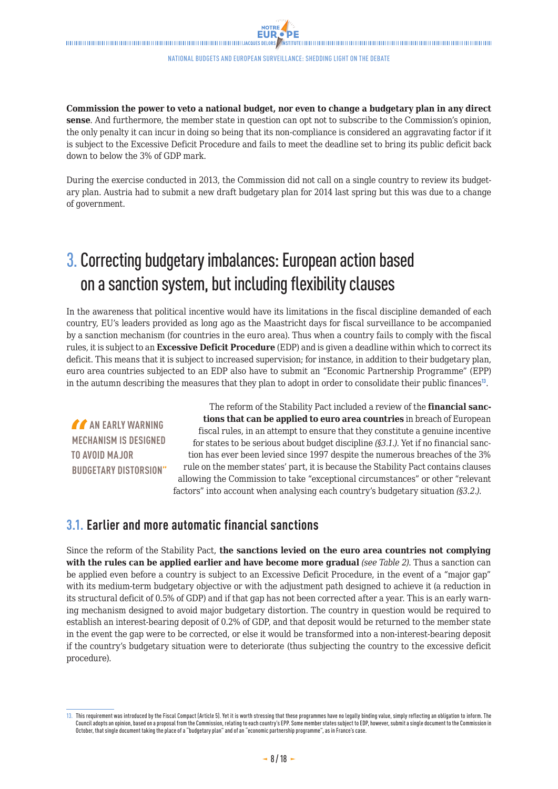<span id="page-7-0"></span>**Commission the power to veto a national budget, nor even to change a budgetary plan in any direct sense**. And furthermore, the member state in question can opt not to subscribe to the Commission's opinion, the only penalty it can incur in doing so being that its non-compliance is considered an aggravating factor if it is subject to the Excessive Deficit Procedure and fails to meet the deadline set to bring its public deficit back down to below the 3% of GDP mark.

During the exercise conducted in 2013, the Commission did not call on a single country to review its budgetary plan. Austria had to submit a new draft budgetary plan for 2014 last spring but this was due to a change of government.

## 3. Correcting budgetary imbalances: European action based on a sanction system, but including flexibility clauses

In the awareness that political incentive would have its limitations in the fiscal discipline demanded of each country, EU's leaders provided as long ago as the Maastricht days for fiscal surveillance to be accompanied by a sanction mechanism (for countries in the euro area). Thus when a country fails to comply with the fiscal rules, it is subject to an **Excessive Deficit Procedure** (EDP) and is given a deadline within which to correct its deficit. This means that it is subject to increased supervision; for instance, in addition to their budgetary plan, euro area countries subjected to an EDP also have to submit an "Economic Partnership Programme" (EPP) in the autumn describing the measures that they plan to adopt in order to consolidate their public finances<sup>13</sup>.

**AN EARLY WARNING MECHANISM IS DESIGNED TO AVOID MAJOR BUDGETARY DISTORSION"**

The reform of the Stability Pact included a review of the **financial sanctions that can be applied to euro area countries** in breach of European fiscal rules, in an attempt to ensure that they constitute a genuine incentive for states to be serious about budget discipline *(§3.1.)*. Yet if no financial sanction has ever been levied since 1997 despite the numerous breaches of the 3% rule on the member states' part, it is because the Stability Pact contains clauses allowing the Commission to take "exceptional circumstances" or other "relevant factors" into account when analysing each country's budgetary situation *(§3.2.)*.

### **3.1. Earlier and more automatic financial sanctions**

Since the reform of the Stability Pact, **the sanctions levied on the euro area countries not complying with the rules can be applied earlier and have become more gradual** *(see Table 2)*. Thus a sanction can be applied even before a country is subject to an Excessive Deficit Procedure, in the event of a "major gap" with its medium-term budgetary objective or with the adjustment path designed to achieve it (a reduction in its structural deficit of 0.5% of GDP) and if that gap has not been corrected after a year. This is an early warning mechanism designed to avoid major budgetary distortion. The country in question would be required to establish an interest-bearing deposit of 0.2% of GDP, and that deposit would be returned to the member state in the event the gap were to be corrected, or else it would be transformed into a non-interest-bearing deposit if the country's budgetary situation were to deteriorate (thus subjecting the country to the excessive deficit procedure).

<sup>13.</sup> This requirement was introduced by the Fiscal Compact (Article 5). Yet it is worth stressing that these programmes have no legally binding value, simply reflecting an obligation to inform. The Council adopts an opinion, based on a proposal from the Commission, relating to each country's EPP. Some member states subject to EDP, however, submit a single document to the Commission in October, that single document taking the place of a "budgetary plan" and of an "economic partnership programme", as in France's case.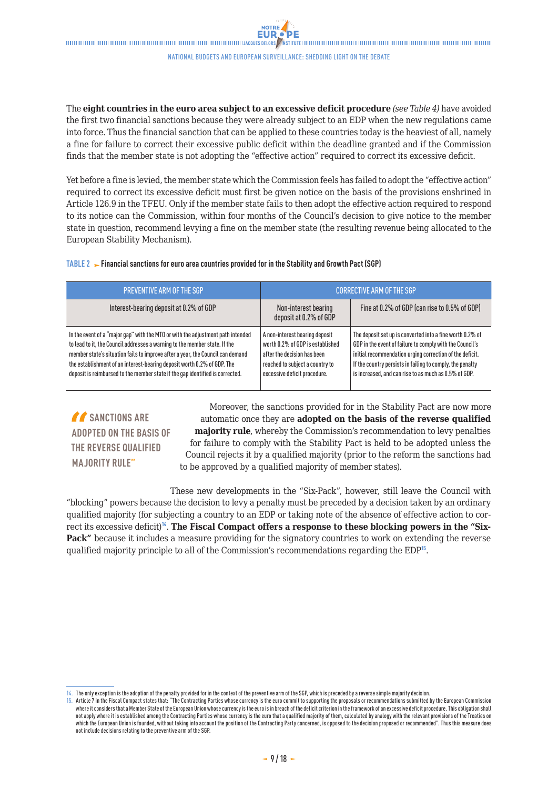The **eight countries in the euro area subject to an excessive deficit procedure** *(see Table 4)* have avoided the first two financial sanctions because they were already subject to an EDP when the new regulations came into force. Thus the financial sanction that can be applied to these countries today is the heaviest of all, namely a fine for failure to correct their excessive public deficit within the deadline granted and if the Commission finds that the member state is not adopting the "effective action" required to correct its excessive deficit.

Yet before a fine is levied, the member state which the Commission feels has failed to adopt the "effective action" required to correct its excessive deficit must first be given notice on the basis of the provisions enshrined in Article 126.9 in the TFEU. Only if the member state fails to then adopt the effective action required to respond to its notice can the Commission, within four months of the Council's decision to give notice to the member state in question, recommend levying a fine on the member state (the resulting revenue being allocated to the European Stability Mechanism).

#### **TABLE 2 Financial sanctions for euro area countries provided for in the Stability and Growth Pact (SGP)**

| <b>PREVENTIVE ARM OF THE SGP</b>                                                                                                                                                                                                                                                                                                                                                                            |                                                                                                                                                                      | <b>CORRECTIVE ARM OF THE SGP</b>                                                                                                                                                                                                                                                                        |
|-------------------------------------------------------------------------------------------------------------------------------------------------------------------------------------------------------------------------------------------------------------------------------------------------------------------------------------------------------------------------------------------------------------|----------------------------------------------------------------------------------------------------------------------------------------------------------------------|---------------------------------------------------------------------------------------------------------------------------------------------------------------------------------------------------------------------------------------------------------------------------------------------------------|
| Interest-bearing deposit at 0.2% of GDP                                                                                                                                                                                                                                                                                                                                                                     | Non-interest bearing<br>deposit at 0.2% of GDP                                                                                                                       | Fine at 0.2% of GDP (can rise to 0.5% of GDP)                                                                                                                                                                                                                                                           |
| In the event of a "major gap" with the MTO or with the adjustment path intended<br>to lead to it, the Council addresses a warning to the member state. If the<br>member state's situation fails to improve after a year, the Council can demand<br>the establishment of an interest-bearing deposit worth 0.2% of GDP. The<br>deposit is reimbursed to the member state if the gap identified is corrected. | A non-interest bearing deposit<br>worth 0.2% of GDP is established<br>after the decision has been<br>reached to subject a country to<br>excessive deficit procedure. | The deposit set up is converted into a fine worth 0.2% of<br>GDP in the event of failure to comply with the Council's<br>initial recommendation urging correction of the deficit.<br>If the country persists in failing to comply, the penalty<br>is increased, and can rise to as much as 0.5% of GDP. |

*f* SANCTIONS ARE **ADOPTED ON THE BASIS OF THE REVERSE QUALIFIED MAJORITY RULE"**

Moreover, the sanctions provided for in the Stability Pact are now more automatic once they are **adopted on the basis of the reverse qualified majority rule**, whereby the Commission's recommendation to levy penalties for failure to comply with the Stability Pact is held to be adopted unless the Council rejects it by a qualified majority (prior to the reform the sanctions had to be approved by a qualified majority of member states).

These new developments in the "Six-Pack", however, still leave the Council with "blocking" powers because the decision to levy a penalty must be preceded by a decision taken by an ordinary qualified majority (for subjecting a country to an EDP or taking note of the absence of effective action to correct its excessive deficit)<sup>1</sup>. The Fiscal Compact offers a response to these blocking powers in the "Six-**Pack"** because it includes a measure providing for the signatory countries to work on extending the reverse qualified majority principle to all of the Commission's recommendations regarding the EDP<sup>15</sup>.

<sup>14.</sup> The only exception is the adoption of the penalty provided for in the context of the preventive arm of the SGP, which is preceded by a reverse simple majority decision.

<sup>15.</sup> Article 7 in the Fiscal Compact states that: "The Contracting Parties whose currency is the euro commit to supporting the proposals or recommendations submitted by the European Commission where it considers that a Member State of the European Union whose currency is the euro is in breach of the deficit criterion in the framework of an excessive deficit procedure. This obligation shall not apply where it is established among the Contracting Parties whose currency is the euro that a qualified majority of them, calculated by analogy with the relevant provisions of the Treaties on which the European Union is founded, without taking into account the position of the Contracting Party concerned, is opposed to the decision proposed or recommended". Thus this measure does not include decisions relating to the preventive arm of the SGP.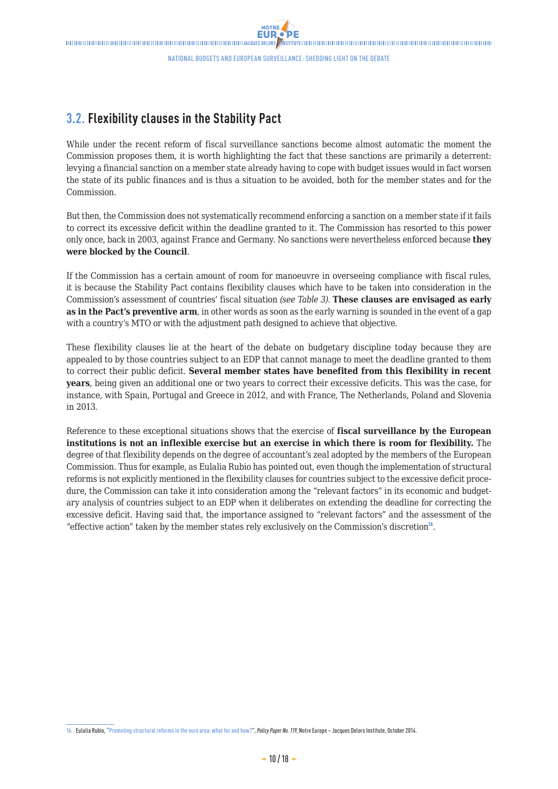## <span id="page-9-0"></span>**3.2. Flexibility clauses in the Stability Pact**

While under the recent reform of fiscal surveillance sanctions become almost automatic the moment the Commission proposes them, it is worth highlighting the fact that these sanctions are primarily a deterrent: levying a financial sanction on a member state already having to cope with budget issues would in fact worsen the state of its public finances and is thus a situation to be avoided, both for the member states and for the **Commission** 

But then, the Commission does not systematically recommend enforcing a sanction on a member state if it fails to correct its excessive deficit within the deadline granted to it. The Commission has resorted to this power only once, back in 2003, against France and Germany. No sanctions were nevertheless enforced because **they were blocked by the Council**.

If the Commission has a certain amount of room for manoeuvre in overseeing compliance with fiscal rules, it is because the Stability Pact contains flexibility clauses which have to be taken into consideration in the Commission's assessment of countries' fiscal situation *(see Table 3)*. **These clauses are envisaged as early as in the Pact's preventive arm**, in other words as soon as the early warning is sounded in the event of a gap with a country's MTO or with the adjustment path designed to achieve that objective.

These flexibility clauses lie at the heart of the debate on budgetary discipline today because they are appealed to by those countries subject to an EDP that cannot manage to meet the deadline granted to them to correct their public deficit. **Several member states have benefited from this flexibility in recent years**, being given an additional one or two years to correct their excessive deficits. This was the case, for instance, with Spain, Portugal and Greece in 2012, and with France, The Netherlands, Poland and Slovenia in 2013.

Reference to these exceptional situations shows that the exercise of **fiscal surveillance by the European institutions is not an inflexible exercise but an exercise in which there is room for flexibility.** The degree of that flexibility depends on the degree of accountant's zeal adopted by the members of the European Commission. Thus for example, as Eulalia Rubio has pointed out, even though the implementation of structural reforms is not explicitly mentioned in the flexibility clauses for countries subject to the excessive deficit procedure, the Commission can take it into consideration among the "relevant factors" in its economic and budgetary analysis of countries subject to an EDP when it deliberates on extending the deadline for correcting the excessive deficit. Having said that, the importance assigned to "relevant factors" and the assessment of the "effective action" taken by the member states rely exclusively on the Commission's discretion $16$ .

<sup>16.</sup> Eulalia Rubio, ["Promoting structural reforms in the euro area: what for and how?](http://www.eng.notre-europe.eu/011-20321-Promoting-structural-reforms-in-the-euro-area.html)", *Policy Paper No. 119*, Notre Europe – Jacques Delors Institute, October 2014.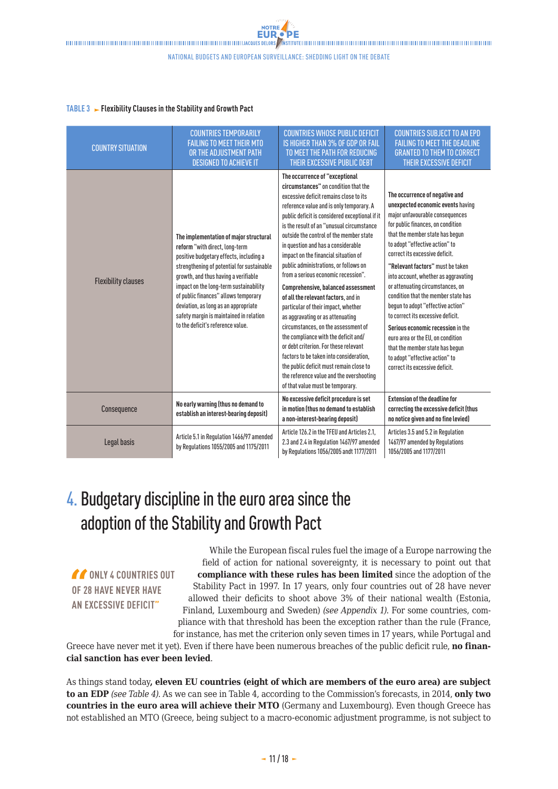### <span id="page-10-0"></span>**TABLE 3 Flexibility Clauses in the Stability and Growth Pact**

| <b>COUNTRY SITUATION</b>   | <b>COUNTRIES TEMPORARILY</b><br><b>FAILING TO MEET THEIR MTO</b><br>OR THE ADJUSTMENT PATH<br><b>DESIGNED TO ACHIEVE IT</b>                                                                                                                                                                                                                                                                                         | <b>COUNTRIES WHOSE PUBLIC DEFICIT</b><br>IS HIGHER THAN 3% OF GDP OR FAIL<br>TO MEET THE PATH FOR REDUCING<br>THEIR EXCESSIVE PUBLIC DEBT                                                                                                                                                                                                                                                                                                                                                                                                                                                                                                                                                                                                                                                                                                                                                                                  | <b>COUNTRIES SUBJECT TO AN EPD</b><br><b>FAILING TO MEET THE DEADLINE</b><br><b>GRANTED TO THEM TO CORRECT</b><br>THEIR EXCESSIVE DEFICIT                                                                                                                                                                                                                                                                                                                                                                                                                                                                                                                            |
|----------------------------|---------------------------------------------------------------------------------------------------------------------------------------------------------------------------------------------------------------------------------------------------------------------------------------------------------------------------------------------------------------------------------------------------------------------|----------------------------------------------------------------------------------------------------------------------------------------------------------------------------------------------------------------------------------------------------------------------------------------------------------------------------------------------------------------------------------------------------------------------------------------------------------------------------------------------------------------------------------------------------------------------------------------------------------------------------------------------------------------------------------------------------------------------------------------------------------------------------------------------------------------------------------------------------------------------------------------------------------------------------|----------------------------------------------------------------------------------------------------------------------------------------------------------------------------------------------------------------------------------------------------------------------------------------------------------------------------------------------------------------------------------------------------------------------------------------------------------------------------------------------------------------------------------------------------------------------------------------------------------------------------------------------------------------------|
| <b>Flexibility clauses</b> | The implementation of major structural<br>reform "with direct, long-term<br>positive budgetary effects, including a<br>strengthening of potential for sustainable<br>growth, and thus having a verifiable<br>impact on the long-term sustainability<br>of public finances" allows temporary<br>deviation, as long as an appropriate<br>safety margin is maintained in relation<br>to the deficit's reference value. | The occurrence of "exceptional<br>circumstances" on condition that the<br>excessive deficit remains close to its<br>reference value and is only temporary. A<br>public deficit is considered exceptional if it<br>is the result of an "unusual circumstance<br>outside the control of the member state<br>in question and has a considerable<br>impact on the financial situation of<br>public administrations, or follows on<br>from a serious economic recession".<br>Comprehensive, balanced assessment<br>of all the relevant factors, and in<br>particular of their impact, whether<br>as aggravating or as attenuating<br>circumstances, on the assessment of<br>the compliance with the deficit and/<br>or debt criterion. For these relevant<br>factors to be taken into consideration,<br>the public deficit must remain close to<br>the reference value and the overshooting<br>of that value must be temporary. | The occurrence of negative and<br>unexpected economic events having<br>major unfavourable consequences<br>for public finances, on condition<br>that the member state has begun<br>to adopt "effective action" to<br>correct its excessive deficit.<br>"Relevant factors" must be taken<br>into account, whether as aggravating<br>or attenuating circumstances, on<br>condition that the member state has<br>begun to adopt "effective action"<br>to correct its excessive deficit.<br>Serious economic recession in the<br>euro area or the EU, on condition<br>that the member state has begun<br>to adopt "effective action" to<br>correct its excessive deficit. |
| Consequence                | No early warning (thus no demand to<br>establish an interest-bearing deposit)                                                                                                                                                                                                                                                                                                                                       | No excessive deficit procedure is set<br>in motion (thus no demand to establish<br>a non-interest-bearing deposit)                                                                                                                                                                                                                                                                                                                                                                                                                                                                                                                                                                                                                                                                                                                                                                                                         | <b>Extension of the deadline for</b><br>correcting the excessive deficit (thus<br>no notice given and no fine levied)                                                                                                                                                                                                                                                                                                                                                                                                                                                                                                                                                |
| Legal basis                | Article 5.1 in Regulation 1466/97 amended<br>by Regulations 1055/2005 and 1175/2011                                                                                                                                                                                                                                                                                                                                 | Article 126.2 in the TFEU and Articles 2.1.<br>2.3 and 2.4 in Regulation 1467/97 amended<br>by Regulations 1056/2005 andt 1177/2011                                                                                                                                                                                                                                                                                                                                                                                                                                                                                                                                                                                                                                                                                                                                                                                        | Articles 3.5 and 5.2 in Regulation<br>1467/97 amended by Regulations<br>1056/2005 and 1177/2011                                                                                                                                                                                                                                                                                                                                                                                                                                                                                                                                                                      |

## 4. Budgetary discipline in the euro area since the adoption of the Stability and Growth Pact

*COUNTRIES OUT* **OF 28 HAVE NEVER HAVE AN EXCESSIVE DEFICIT"**

While the European fiscal rules fuel the image of a Europe narrowing the field of action for national sovereignty, it is necessary to point out that **compliance with these rules has been limited** since the adoption of the Stability Pact in 1997. In 17 years, only four countries out of 28 have never allowed their deficits to shoot above 3% of their national wealth (Estonia, Finland, Luxembourg and Sweden) *(see Appendix 1)*. For some countries, compliance with that threshold has been the exception rather than the rule (France, for instance, has met the criterion only seven times in 17 years, while Portugal and

Greece have never met it yet). Even if there have been numerous breaches of the public deficit rule, **no financial sanction has ever been levied**.

As things stand today**, eleven EU countries (eight of which are members of the euro area) are subject to an EDP** *(see Table 4)*. As we can see in Table 4, according to the Commission's forecasts, in 2014, **only two countries in the euro area will achieve their MTO** (Germany and Luxembourg). Even though Greece has not established an MTO (Greece, being subject to a macro-economic adjustment programme, is not subject to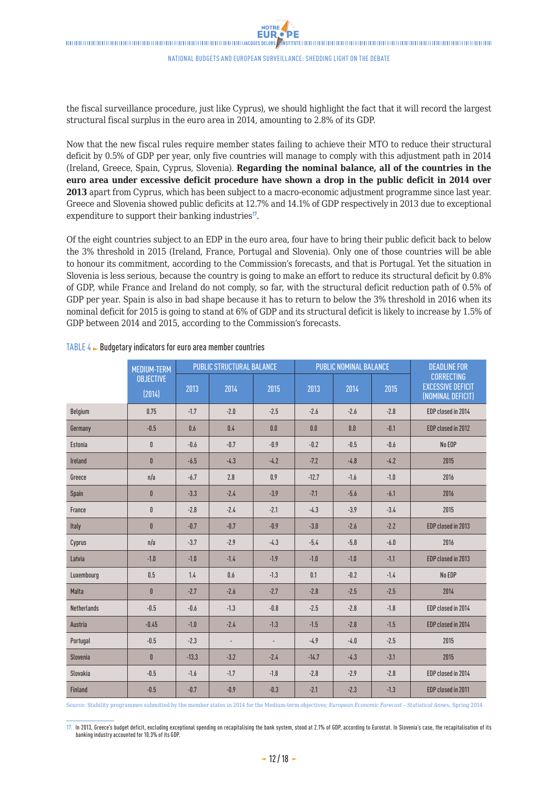the fiscal surveillance procedure, just like Cyprus), we should highlight the fact that it will record the largest structural fiscal surplus in the euro area in 2014, amounting to 2.8% of its GDP.

Now that the new fiscal rules require member states failing to achieve their MTO to reduce their structural deficit by 0.5% of GDP per year, only five countries will manage to comply with this adjustment path in 2014 (Ireland, Greece, Spain, Cyprus, Slovenia). **Regarding the nominal balance, all of the countries in the euro area under excessive deficit procedure have shown a drop in the public deficit in 2014 over 2013** apart from Cyprus, which has been subject to a macro-economic adjustment programme since last year. Greece and Slovenia showed public deficits at 12.7% and 14.1% of GDP respectively in 2013 due to exceptional expenditure to support their banking industries<sup>17</sup>.

Of the eight countries subject to an EDP in the euro area, four have to bring their public deficit back to below the 3% threshold in 2015 (Ireland, France, Portugal and Slovenia). Only one of those countries will be able to honour its commitment, according to the Commission's forecasts, and that is Portugal. Yet the situation in Slovenia is less serious, because the country is going to make an effort to reduce its structural deficit by 0.8% of GDP, while France and Ireland do not comply, so far, with the structural deficit reduction path of 0.5% of GDP per year. Spain is also in bad shape because it has to return to below the 3% threshold in 2016 when its nominal deficit for 2015 is going to stand at 6% of GDP and its structural deficit is likely to increase by 1.5% of GDP between 2014 and 2015, according to the Commission's forecasts.

|                    | <b>MEDIUM-TERM</b>         | <b>PUBLIC STRUCTURAL BALANCE</b><br><b>PUBLIC NOMINAL BALANCE</b> |                |        | <b>DEADLINE FOR</b> |        |        |                                                                    |
|--------------------|----------------------------|-------------------------------------------------------------------|----------------|--------|---------------------|--------|--------|--------------------------------------------------------------------|
|                    | <b>OBJECTIVE</b><br>(2014) | 2013                                                              | 2014           | 2015   | 2013                | 2014   | 2015   | <b>CORRECTING</b><br><b>EXCESSIVE DEFICIT</b><br>(NOMINAL DEFICIT) |
| Belgium            | 0.75                       | $-1.7$                                                            | $-2.0$         | $-2.5$ | $-2.6$              | $-2.6$ | $-2.8$ | EDP closed in 2014                                                 |
| Germany            | $-0.5$                     | 0.6                                                               | 0.4            | 0.0    | 0.0                 | 0.0    | $-0.1$ | EDP closed in 2012                                                 |
| Estonia            | $\mathbf{0}$               | $-0.6$                                                            | $-0.7$         | $-0.9$ | $-0.2$              | $-0.5$ | $-0.6$ | No EDP                                                             |
| <b>Ireland</b>     | $\mathbf{0}$               | $-6.5$                                                            | $-4.3$         | $-4.2$ | $-7.2$              | $-4.8$ | $-4.2$ | 2015                                                               |
| Greece             | n/a                        | $-6.7$                                                            | 2.8            | 0.9    | $-12.7$             | $-1.6$ | $-1.0$ | 2016                                                               |
| Spain              | $\mathbf{0}$               | $-3.3$                                                            | $-2.4$         | $-3.9$ | $-7.1$              | $-5.6$ | $-6.1$ | 2016                                                               |
| France             | $\mathbf{0}$               | $-2.8$                                                            | $-2.4$         | $-2.1$ | $-4.3$              | $-3.9$ | $-3.4$ | 2015                                                               |
| Italy              | $\mathbf{0}$               | $-0.7$                                                            | $-0.7$         | $-0.9$ | $-3.0$              | $-2.6$ | $-2.2$ | EDP closed in 2013                                                 |
| Cyprus             | n/a                        | $-3.7$                                                            | $-2.9$         | $-4.3$ | $-5.4$              | $-5.8$ | $-6.0$ | 2016                                                               |
| Latvia             | $-1.0$                     | $-1.0$                                                            | $-1.4$         | $-1.9$ | $-1.0$              | $-1.0$ | $-1.1$ | EDP closed in 2013                                                 |
| Luxembourg         | 0.5                        | 1.4                                                               | 0.6            | $-1.3$ | 0.1                 | $-0.2$ | $-1.4$ | No EDP                                                             |
| Malta              | $\mathbf{0}$               | $-2.7$                                                            | $-2.6$         | $-2.7$ | $-2.8$              | $-2.5$ | $-2.5$ | 2014                                                               |
| <b>Netherlands</b> | $-0.5$                     | $-0.6$                                                            | $-1.3$         | $-0.8$ | $-2.5$              | $-2.8$ | $-1.8$ | EDP closed in 2014                                                 |
| Austria            | $-0.45$                    | $-1.0$                                                            | $-2.4$         | $-1.3$ | $-1.5$              | $-2.8$ | $-1.5$ | EDP closed in 2014                                                 |
| Portugal           | $-0.5$                     | $-2.3$                                                            | $\blacksquare$ | ÷,     | $-4.9$              | $-4.0$ | $-2.5$ | 2015                                                               |
| Slovenia           | $\mathbf{0}$               | $-13.3$                                                           | $-3.2$         | $-2.4$ | $-14.7$             | $-4.3$ | $-3.1$ | 2015                                                               |
| Slovakia           | $-0.5$                     | $-1.6$                                                            | $-1.7$         | $-1.8$ | $-2.8$              | $-2.9$ | $-2.8$ | EDP closed in 2014                                                 |
| <b>Finland</b>     | $-0.5$                     | $-0.7$                                                            | $-0.9$         | $-0.3$ | $-2.1$              | $-2.3$ | $-1.3$ | EDP closed in 2011                                                 |

#### TABLE  $4\blacktriangleright$  Budgetary indicators for euro area member countries

Source: [Stability programmes](http://ec.europa.eu/europe2020/making-it-happen/country-specific-recommendations/index_en.htm) submitted by the member states in 2014 for the Medium-term objectives; *[European Economic Forecast – Statistical Annex](http://ec.europa.eu/economy_finance/publications/european_economy/2014/pdf/2014_05_05_stat_annex_en.pdf)*, Spring 2014 .

17. In 2013, Greece's budget deficit, excluding exceptional spending on recapitalising the bank system, stood at 2.1% of GDP, according to Eurostat. In Slovenia's case, the recapitalisation of its<br>banking industry accounte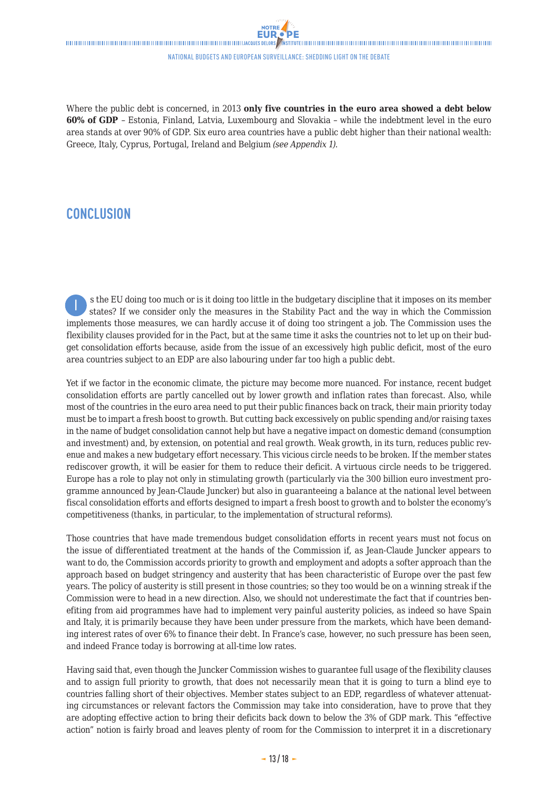<span id="page-12-0"></span>

### national budgets and EUropean surveillance: Shedding light on the debate

Where the public debt is concerned, in 2013 **only five countries in the euro area showed a debt below 60% of GDP** – Estonia, Finland, Latvia, Luxembourg and Slovakia – while the indebtment level in the euro area stands at over 90% of GDP. Six euro area countries have a public debt higher than their national wealth: Greece, Italy, Cyprus, Portugal, Ireland and Belgium *(see Appendix 1)*.

### **CONCLUSION**

 s the EU doing too much or is it doing too little in the budgetary discipline that it imposes on its member states? If we consider only the measures in the Stability Pact and the way in which the Commission implements those measures, we can hardly accuse it of doing too stringent a job. The Commission uses the flexibility clauses provided for in the Pact, but at the same time it asks the countries not to let up on their budget consolidation efforts because, aside from the issue of an excessively high public deficit, most of the euro area countries subject to an EDP are also labouring under far too high a public debt. I

Yet if we factor in the economic climate, the picture may become more nuanced. For instance, recent budget consolidation efforts are partly cancelled out by lower growth and inflation rates than forecast. Also, while most of the countries in the euro area need to put their public finances back on track, their main priority today must be to impart a fresh boost to growth. But cutting back excessively on public spending and/or raising taxes in the name of budget consolidation cannot help but have a negative impact on domestic demand (consumption and investment) and, by extension, on potential and real growth. Weak growth, in its turn, reduces public revenue and makes a new budgetary effort necessary. This vicious circle needs to be broken. If the member states rediscover growth, it will be easier for them to reduce their deficit. A virtuous circle needs to be triggered. Europe has a role to play not only in stimulating growth (particularly via the 300 billion euro investment programme announced by Jean-Claude Juncker) but also in guaranteeing a balance at the national level between fiscal consolidation efforts and efforts designed to impart a fresh boost to growth and to bolster the economy's competitiveness (thanks, in particular, to the implementation of structural reforms).

Those countries that have made tremendous budget consolidation efforts in recent years must not focus on the issue of differentiated treatment at the hands of the Commission if, as Jean-Claude Juncker appears to want to do, the Commission accords priority to growth and employment and adopts a softer approach than the approach based on budget stringency and austerity that has been characteristic of Europe over the past few years. The policy of austerity is still present in those countries; so they too would be on a winning streak if the Commission were to head in a new direction. Also, we should not underestimate the fact that if countries benefiting from aid programmes have had to implement very painful austerity policies, as indeed so have Spain and Italy, it is primarily because they have been under pressure from the markets, which have been demanding interest rates of over 6% to finance their debt. In France's case, however, no such pressure has been seen, and indeed France today is borrowing at all-time low rates.

Having said that, even though the Juncker Commission wishes to guarantee full usage of the flexibility clauses and to assign full priority to growth, that does not necessarily mean that it is going to turn a blind eye to countries falling short of their objectives. Member states subject to an EDP, regardless of whatever attenuating circumstances or relevant factors the Commission may take into consideration, have to prove that they are adopting effective action to bring their deficits back down to below the 3% of GDP mark. This "effective action" notion is fairly broad and leaves plenty of room for the Commission to interpret it in a discretionary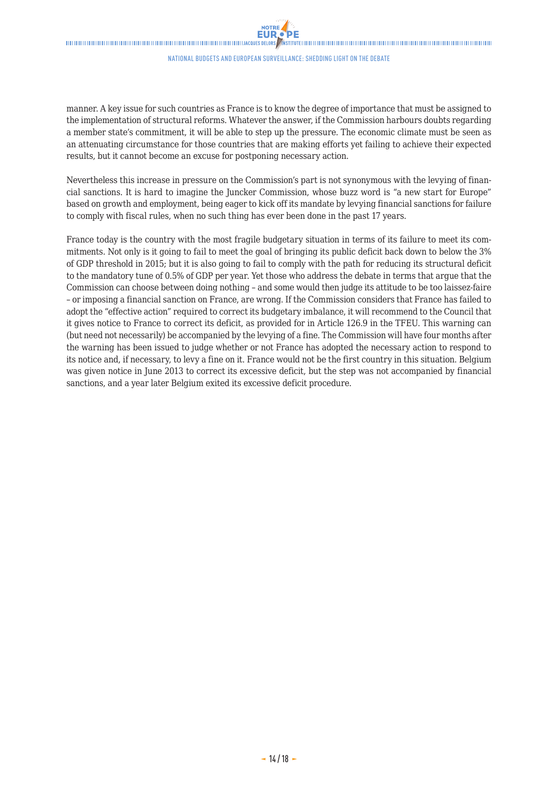manner. A key issue for such countries as France is to know the degree of importance that must be assigned to the implementation of structural reforms. Whatever the answer, if the Commission harbours doubts regarding a member state's commitment, it will be able to step up the pressure. The economic climate must be seen as an attenuating circumstance for those countries that are making efforts yet failing to achieve their expected results, but it cannot become an excuse for postponing necessary action.

Nevertheless this increase in pressure on the Commission's part is not synonymous with the levying of financial sanctions. It is hard to imagine the Juncker Commission, whose buzz word is "a new start for Europe" based on growth and employment, being eager to kick off its mandate by levying financial sanctions for failure to comply with fiscal rules, when no such thing has ever been done in the past 17 years.

France today is the country with the most fragile budgetary situation in terms of its failure to meet its commitments. Not only is it going to fail to meet the goal of bringing its public deficit back down to below the 3% of GDP threshold in 2015; but it is also going to fail to comply with the path for reducing its structural deficit to the mandatory tune of 0.5% of GDP per year. Yet those who address the debate in terms that argue that the Commission can choose between doing nothing – and some would then judge its attitude to be too laissez-faire – or imposing a financial sanction on France, are wrong. If the Commission considers that France has failed to adopt the "effective action" required to correct its budgetary imbalance, it will recommend to the Council that it gives notice to France to correct its deficit, as provided for in Article 126.9 in the TFEU. This warning can (but need not necessarily) be accompanied by the levying of a fine. The Commission will have four months after the warning has been issued to judge whether or not France has adopted the necessary action to respond to its notice and, if necessary, to levy a fine on it. France would not be the first country in this situation. Belgium was given notice in June 2013 to correct its excessive deficit, but the step was not accompanied by financial sanctions, and a year later Belgium exited its excessive deficit procedure.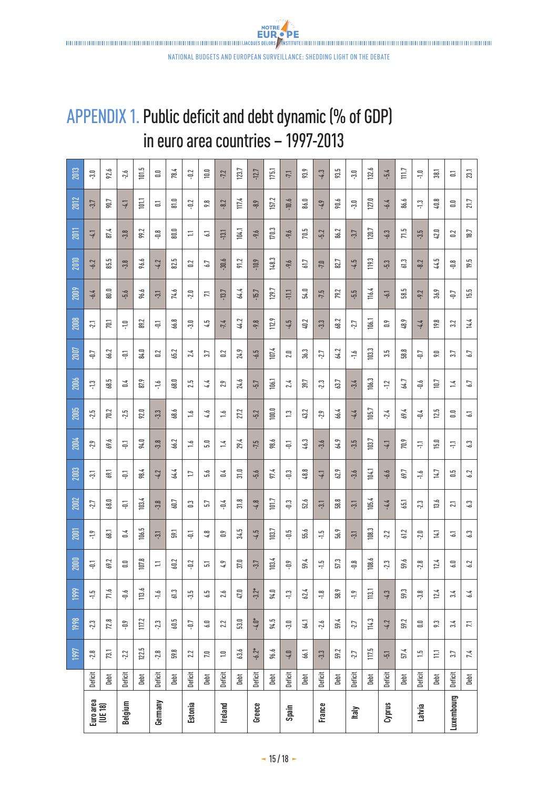**NOTRE** 

## <span id="page-14-0"></span>APPENDIX 1. Public deficit and debt dynamic (% of GDP) in euro area countries – 1997-2013

|                     |         | 1997       | 1998              | 1999            | 2000          | <b>2001</b>     | 2002            | 2003            | 2004        | 2005                 | 2006       | 2007           | 2008           | 2009            | 2010       | 2011                           | 2012                  | 2013            |
|---------------------|---------|------------|-------------------|-----------------|---------------|-----------------|-----------------|-----------------|-------------|----------------------|------------|----------------|----------------|-----------------|------------|--------------------------------|-----------------------|-----------------|
| Euroarea<br>(UE 18) | Deficit | $-2.8$     | $-2.3$            | ې:              | $\Xi$         | $-1.9$          | -2.7            | $\overline{3}$  | $-2.9$      | 2.5                  | ុះ         | $\overline{u}$ | $-2.1$         | $-6.4$          | $-6.2$     | $-4.1$                         | $-3.7$                | 5.              |
|                     | Debt    | 73.1       | 72.8              | 71.6            | 69.2          | 68.1            | 68.0            | 69.1            | 69.6        | 70.2                 | بما<br>38  | 66.2           | 70.1           | 80.0            | 85.5       | 87.4                           | 90.7                  | 92.6            |
| Belgium             | Deficit | 2.2        | ęņ.               | $\ddot{\theta}$ | $\Xi$         | 0.4             | $\Xi$           | $\Xi$           | $\Xi$       | 2.5                  | $\geq$     | $\Xi$          | Ξ              | $-5.6$          | $-3.8$     | $-3.8$                         | $-41$                 | 2.6             |
|                     | Debt    | 122.5      | 117.2             | 113.6           | 107.8         | 106.5           | 103.4           | 98.4            | 94.0        | $\blacksquare$<br>55 | 87.9       | 84.0           | 89.2           | 96.6            | 96.6       | $\overline{\phantom{0}}$<br>ஜ் | $\overline{101}$      | 101.5           |
| Germany             | Deficit | $-2.8$     | $23$              | $-1.6$          | H             | $\overline{31}$ | 3.8             | $-4.2$          | $-3.8$      | 33                   | ÷.         | $\approx$      | ā              | $\overline{31}$ | $-4.2$     | Ξ                              | Ξ                     | $\Xi$           |
|                     | Debt    | 59.8       | 60.5              | 613             | 60.2          | 59,1            | 60.7            | 64.4            | 66.2        | ج<br>S.              | 68.0       | 65.2           | 66.8           | 74.6            | 82.5       | $\overline{\phantom{0}}$<br>ຂ່ | 81.0                  | 78.4            |
| Estonia             | Deficit | 2.2        | -Q.               | -3.5            | $-0.2$        | 늘               | $\mathbb{S}$    | $\overline{17}$ | $\tilde{=}$ | $\ddot{ }$           | 2.5        | 2.4            | $\frac{3}{2}$  | $-2.0$          | $\approx$  | H                              | $-0.2$                | $-12$           |
|                     | Debt    | 7.0        | 6.0               | 6.5             | <u>្រ</u>     | $\frac{8}{4}$   | 5.7             | 5,6             | ្ល          | 4.6                  | 4.4        | 3.7            | 4.5            | 11              | 6.7        | 2                              | 9.8                   | $\Xi$           |
| <b>Ireland</b>      | Deficit | $\Xi$      | 2.2               | 2.6             | 4.9           | S)              | $-0.4$          | $\leq$          | $\ddot{ }$  | $\ddot{ }$           | 2.9        | $\approx$      | $-7.4$         | $-13.7$         | $-30.6$    | $-13.1$                        | $-8.2$                | $-7.2$          |
|                     | Debt    | 63.6       | $\overline{53.0}$ | $47.0\,$        | $37.0\,$      | 34.5            | 31.8            | 31.0            | 29.4        | 27.2                 | 24.6       | 24.9           | 44.2           | 64.4            | 91.2       | 104.1                          | 117.4                 | 123.7           |
| Greece              | Deficit | $-6.2*$    | $-4.0*$           | $-3.2*$         | $-3.7$        | $-4.5$          | $-4.8$          | $-5.6$          | -7.5        | $-5.2$               | $-5.7$     | $-6.5$         | -9.8           | $-15.7$         | $-10.9$    | -9.6                           | $-8.9$                | $-12.7$         |
|                     | Debt    | 96.6       | 94.5              | 94.0            | 103.4         | 103.7           | 101.7           | 97.4            | 98.6        | 100.0                | 106.1      | 107.4          | 112.9          | 129.7           | 148.3      | 170.3                          | 157.2                 | 175.1           |
| Spain               | Deficit | $-4.0$     | $\Xi$             | $\ddot{ }$      | ξņ            | $\ddot{=}$      | ς               | $\Xi$           | $\unlhd$    | $\ddot{c}$           | 2.4        | 2.0            | $57 -$         | -11.1           | -9.6       | $-9.6$                         | $-10.6$               | $-71$           |
|                     | Debt    | 66.1       | 64.1              | 62.4            | 59.4          | 55.6            | 52.6            | 48.8            | 46.3        | 43.2                 | 39.7       | 36.3           | 40.2           | 54.0            | 61.7       | بما<br>Þ.                      | 86.0                  | 93.9            |
| France              | Deficit | $-3.3$     | $-2.6$            | $\frac{1}{2}$   | $\frac{5}{1}$ | مبا<br>ج        | $\overline{31}$ | -41             | $-3.6$      | 2.9                  | 2.3        | $-2.7$         | $-3.3$         | $-7.5$          | $-7.0$     | $-5.2$                         | $-4.9$                | $-4.3$          |
|                     | Debt    | 59.2       | 59.4              | 58.9            | 573           | 56.9            | œ<br>58.        | 62.9            | 64.9        | 66.4                 | 63.7       | 64.2           | 2<br>\$8.      | 79.2            | 82.7       | 86.2                           | 90.6                  | 93.5            |
| Italy               | Deficit | -2.7       | -2.7              | $\frac{1}{2}$   | $\frac{8}{7}$ | $\overline{31}$ | Ģ               | $-3.6$          | $-3.5$      | $-4.4$               | $-3.4$     | $-1.6$         | -2.7           | $-5.5$          | $-4.5$     | $-3.7$                         | $\overline{3.0}$      | $\overline{30}$ |
|                     | Debt    | 117.5      | 114.3             | 113.1           | 108.6         | 108.3           | 105.4           | 104.1           | 103.7       | 105.7                | نى<br>106. | 103.3          | 106.1          | 116.4           | 119.3      | 120.7                          | 127.0                 | 132.6           |
| Cyprus              | Deficit | $-5.1$     | $-4.2$            | $-4.3$          | $-2.3$        | 2.2             | $-4.4$          | $-6.6$          | 17-         | 2.4                  | $-1.2$     | $3.5\,$        | $\mathbf{c}_1$ | $-6.1$          | $\ddot{5}$ | $-6.3$                         | $79-$                 | $-5.4$          |
|                     | Debt    | 57.4       | 59.2              | 59.3            | 59.6          | 61.2            | 55              | 69.7            | 70.9        | 69.4                 | 64.7       | 58.8           | 48.9           | ڄا<br>ິສ        | 61.3       | 71.5                           | 86.6                  | 111.7           |
| Latvia              | Deficit | $\ddot{5}$ | $\Xi$             | 3.8             | $-2.8$        | $2.0$           | $-2.3$          | $-1.6$          | Ë.          | $-0.4$               | è.p        | 5g             | $-4.4$         | $-9.2$          | $-8.2$     | $-3.5$                         | $\ddot{ }$ $\ddot{ }$ | $\Xi$           |
|                     | Debt    | $\Xi$      | 9:3               | 12.4            | 12.4          | 14.1            | 13.6            | 14.7            | 15.0        | 12.5                 | 10.7       | S.             | 19.8           | 36.9            | 44.5       | $\blacksquare$<br>đ.           | œ<br>੩                | 38.1            |
| Luxembourg          | Deficit | 3.7        | 3.4               | 3.4             | 6.0           | 2               | $\overline{21}$ | $\frac{5}{10}$  | ÷.          | $\Xi$                | $\ddot{ }$ | 37             | 3.2            | LD-             | ី់         | $\approx$                      | $\Xi$                 | Ξ               |
|                     | Debt    | 7.4        | 11                | 6.4             | 6.2           | 6.3             | 6.3             | 6.2             | 6.3         | 2                    | 6.7        | 6.7            | 14.4           | 15.5            | 19.5       | 18.7                           | 21.7                  | 23.1            |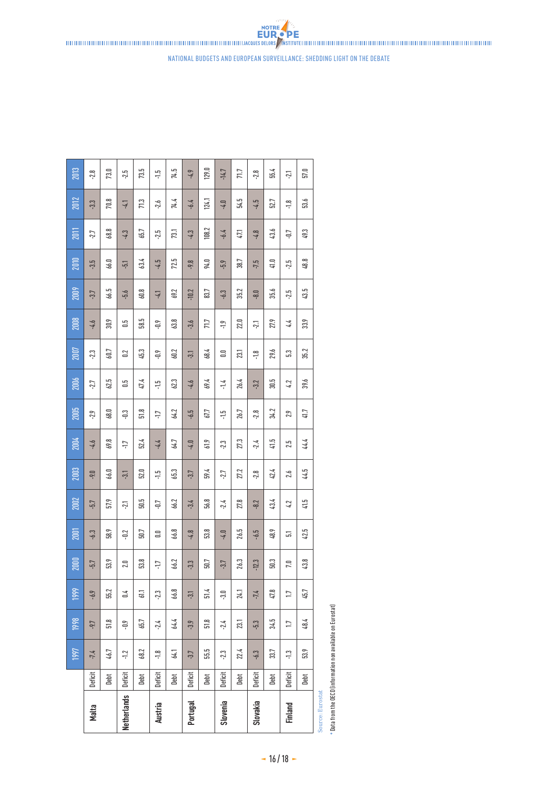

 $\frac{15}{1}$  $26.7$  $2.8$ 34.2

 $2.3$ 27.3

67.7

 $61.9$ 

 $56.8\,$  $-2.4$ 27.8

 $\overline{53.8}$ 

 $51.4$ 

555  $2.3$ 22.4

Debt

 $-4.0$ 

 $-3.4$ 

 $-4.8$ 

 $-3.3$  $50.7$ 

 $-3.1$ 

 $-3.9$  $51.8$  $-2.4$ 

 $-3.7$ 

Deficit

Portugal

2005

2004

2003

 $2002$ 

 $2001$ 

 $2000$ 

1999

1998

997

 $68.0\,$ 

្អ

 $-1.7$ 

 $-21$ 

 $-0.2$ 

58.9

 $53.9$  $2.0$ 

 $55.2\,$  $\overline{0.4}$  $611$  $2.3\,$ 

46.7

Debt

 $-1.2$ 

**Deficit** 

**Netherlands** 

 $2.9$ 

 $-4.6$ 69.8

 $-9.0$  $66.0$  $-3.1$  $52.0$  $\frac{1}{2}$ 65.3  $-3.7$ 59.4  $-2.7$ 27.2  $-2.8$ 42.4  $2.6$ 

 $-5.7$ 57.9

 $-6.3$ 

 $-5.7$ 

 $-6.9$ 

 $-9.7$  $51.8$ ęņ. 65.7

 $-7.4$ 

**Deficit** 

Malta

 $51.8\,$ 

 $52.4$ 

 $50.5$ 

 $50.7\,$ 

 $\overline{53.8}$ 

68.2

Debt

 $\overline{1}$ 

 $-4.4$ 

 $-0.7$ 66.2

 $\Xi$ 

 $\ddot{1}$ 

 $2.4$ 

 $\frac{1}{2}$ 

**Deficit** 

**Austria** 

64.2  $-6.5$ 

64.7

66.8

66.2

66.8

64.4

64.1

Debt

| a Euroster |                                                                                                                                                                                               |
|------------|-----------------------------------------------------------------------------------------------------------------------------------------------------------------------------------------------|
|            |                                                                                                                                                                                               |
|            |                                                                                                                                                                                               |
|            |                                                                                                                                                                                               |
|            |                                                                                                                                                                                               |
|            |                                                                                                                                                                                               |
| Source     | $\mathbf{R} = \mathbf{R} \cdot \mathbf{R}$ . All $\mathbf{R} = \mathbf{R} \cdot \mathbf{R}$ , and $\mathbf{R} = \mathbf{R} \cdot \mathbf{R}$ , and $\mathbf{R} = \mathbf{R} \cdot \mathbf{R}$ |

 $41.7$ 

44.4

44.5

 $41.5$ 

42.5

 $43.8$ 

 $45.7\,$ 

48.4

 $53.9$ 

Debt

 $2.9$ 

 $2.5$ 

 $4.2$ 

 $\overline{5}$ 

 $7.0$ 

 $17$ 

 $\overline{11}$ 

 $\ddot{ }$ :

**Deficit** 

Finland

 $41.5$ 

48.9

 $47.8$ 

 $34.5$ 

33.7

Debt

 $-2.4$ 

 $-8.2$ 43.4

 $-6.5$ 

 $-12.3$  $50.3\,$ 

 $-7.4$ 

 $5.3\,$ 

 $-6.3$ 

**Deficit** 

Slovakia

26.5

 $26.3$ 

23.1

Debt

 $-4.0$ 

 $-3.7$ 

 $-3.0$ 24.1

**Deficit** 

Slovenia

Data from the OECD (information non available on Eurostat) \* Data from the OECD (information non available on Eurostat)

national budgets and EUropean surveillance: Shedding light on the debate

**EUR.** PE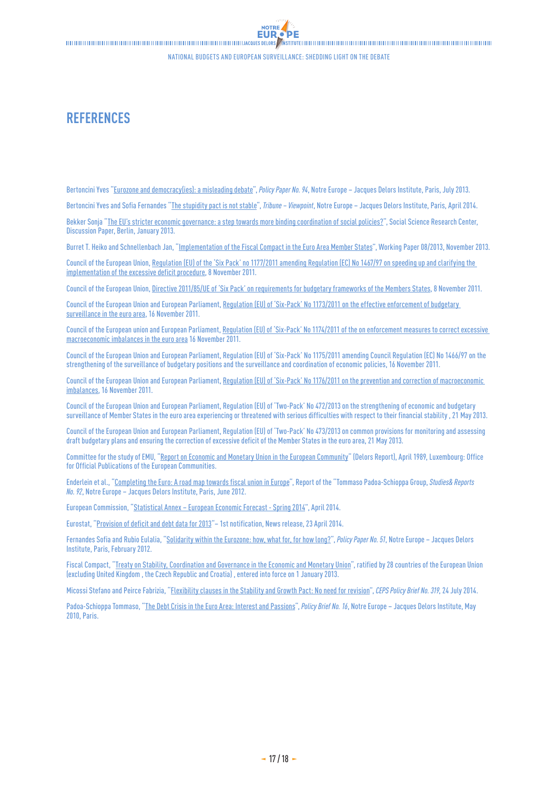**DF** 

## <span id="page-16-0"></span>**REFERENCES**

Bertoncini Yves ["Eurozone and democracy\(ies\): a misleading debate"](http://www.eng.notre-europe.eu/011-16385-Zone-euro-et-democratie-s-un-debat-en-trompe-l-oeil.html), *Policy Paper No. 94*, Notre Europe – Jacques Delors Institute, Paris, July 2013.

Bertoncini Yves and Sofia Fernandes "[The stupidity pact is not stable](http://www.eng.notre-europe.eu/011-18631-Eng-The-stupidity-pact-is-not-stable.html)", *Tribune – Viewpoint*, Notre Europe – Jacques Delors Institute, Paris, April 2014.

Bekker Sonja "[The EU's stricter economic governance: a step towards more binding coordination of social policies?](http://bibliothek.wzb.eu/pdf/2013/iv13-501.pdf)", Social Science Research Center, Discussion Paper, Berlin, January 2013.

Burret T. Heiko and Schnellenbach Jan, "[Implementation of the Fiscal Compact in the Euro Area Member States"](http://www.sachverstaendigenrat-wirtschaft.de/fileadmin/dateiablage/download/publikationen/arbeitspapier_08_2013_engl.pdf), Working Paper 08/2013, November 2013.

Council of the European Union, [Regulation \(EU\) of the 'Six Pack' no 1177/2011 amending Regulation \(EC\) No 1467/97 on speeding up and clarifying the](http://eur-lex.europa.eu/legal-content/EN/ALL/;jsessionid=2FZkTwTM46TF4Q4xy0lQ6TnnckbY0lQ9zLHzZjmL2xpyyrnJ371W!1694229970?uri=CELEX:32011R1177)  [implementation of the excessive deficit procedure,](http://eur-lex.europa.eu/legal-content/EN/ALL/;jsessionid=2FZkTwTM46TF4Q4xy0lQ6TnnckbY0lQ9zLHzZjmL2xpyyrnJ371W!1694229970?uri=CELEX:32011R1177) 8 November 2011.

Council of the European Union, [Directive 2011/85/UE of 'Six Pack' on requirements for budgetary frameworks of the Members States](http://eur-lex.europa.eu/LexUriServ/LexUriServ.do?uri=OJ:L:2011:306:0041:0047:EN:PDF), 8 November 2011.

Council of the European Union and European Parliament, Regulation (EU) of 'Six-Pack' No 1173/2011 on the effective enforcement of budgetary [surveillance in the euro area](http://eur-lex.europa.eu/legal-content/EN/ALL/?uri=CELEX:32011R1173), 16 November 2011.

Council of the European union and European Parliament, [Regulation \(EU\) of 'Six-Pack' No1174/2011 of the on enforcement measures to correct excessive](http://eur-lex.europa.eu/legal-content/EN/ALL/?uri=CELEX:32011R1174)  [macroeconomic imbalances in the euro area](http://eur-lex.europa.eu/legal-content/EN/ALL/?uri=CELEX:32011R1174) 16 November 2011.

Council of the European Union and European Parliament, Regulation (EU) of 'Six-Pack' No1175/2011 amending Council Regulation (EC) No1466/97 on the strengthening of the surveillance of budgetary positions and the surveillance and coordination of economic policies, 16 November 2011.

Council of the European Union and European Parliament, Regulation (EU) of 'Six-Pack' No 1176/2011 on the prevention and correction of macroeconomic [imbalances,](http://eur-lex.europa.eu/legal-content/EN/ALL/?uri=CELEX:32011R1176) 16 November 2011.

Council of the European Union and European Parliament, Regulation (EU) of 'Two-Pack' No472/2013 on the strengthening of economic and budgetary surveillance of Member States in the euro area experiencing or threatened with serious difficulties with respect to their financial stability , 21 May 2013.

Council of the European Union and European Parliament, Regulation (EU) of 'Two-Pack' No473/2013 on common provisions for monitoring and assessing draft budgetary plans and ensuring the correction of excessive deficit of the Member States in the euro area, 21 May 2013.

Committee for the study of EMU, ["Report on Economic and Monetary Union in the European Community"](http://aei.pitt.edu/1007/1/monetary_delors.pdf) (Delors Report), April 1989, Luxembourg: Office for Official Publications of the European Communities.

Enderlein et al., ["Completing the Euro: A road map towards fiscal union in Europe"](http://www.eng.notre-europe.eu/011-3317-Completing-the-EuroA-road-map-towards-fiscal-union-in-Europe.html), Report of the "Tommaso Padoa-Schioppa Group, *Studies& Reports No.92*, Notre Europe – Jacques Delors Institute, Paris, June 2012.

European Commission, "[Statistical Annex – European Economic Forecast - Spring 2014"](http://ec.europa.eu/economy_finance/publications/european_economy/2014/pdf/ee3_en.pdf), April 2014.

Eurostat, ["Provision of deficit and debt data for 2013"](http://epp.eurostat.ec.europa.eu/cache/ITY_PUBLIC/2-23042014-AP/EN/2-23042014-AP-EN.PDF)– 1st notification, News release, 23 April 2014.

Fernandes Sofia and Rubio Eulalia, "[Solidarity within the Eurozone: how, what for, for how long?](http://www.eng.notre-europe.eu/011-3089-Solidarity-within-the-Eurozone-how-much-what-for-for-how-long.html)", *Policy Paper No. 51*, Notre Europe – Jacques Delors Institute, Paris, February 2012.

Fiscal Compact, ["Treaty on Stability, Coordination and Governance in the Economic and Monetary Union](http://european-council.europa.eu/media/639235/st00tscg26_en12.pdf)", ratified by 28 countries of the European Union (excluding United Kingdom , the Czech Republic and Croatia) , entered into force on 1 January 2013.

Micossi Stefano and Peirce Fabrizia, ["Flexibility clauses in the Stability and Growth Pact: No need for revision"](http://www.ceps.be/book/flexibility-clauses-stability-and-growth-pact-no-need-revision ), *CEPS Policy Brief No. 319*, 24 July 2014.

Padoa-Schioppa Tommaso, "[The Debt Crisis in the Euro Area: Interest and Passions](http://www.eng.notre-europe.eu/011-2273-The-Debt-Crisis-in-the-Euro-Area-Interest-and-Passions.html)", *Policy Brief No. 16*, Notre Europe – Jacques Delors Institute, May 2010, Paris.